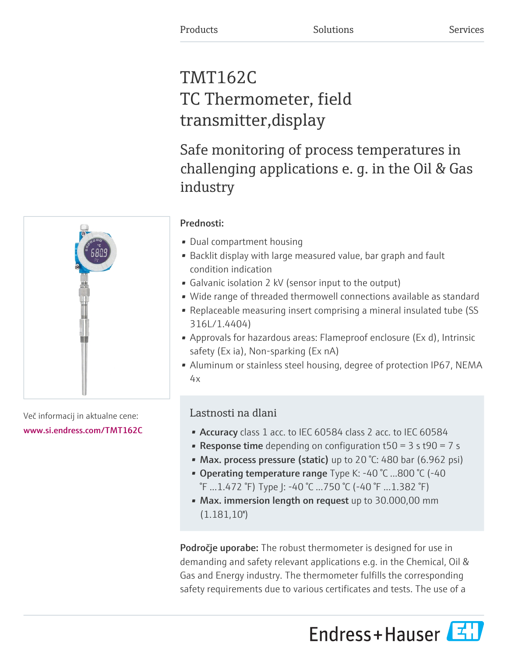# TMT162C TC Thermometer, field transmitter,display

Safe monitoring of process temperatures in challenging applications e. g. in the Oil & Gas industry

# Prednosti:

- Dual compartment housing
- Backlit display with large measured value, bar graph and fault condition indication
- Galvanic isolation 2 kV (sensor input to the output)
- Wide range of threaded thermowell connections available as standard
- Replaceable measuring insert comprising a mineral insulated tube (SS 316L/1.4404)
- Approvals for hazardous areas: Flameproof enclosure (Ex d), Intrinsic safety (Ex ia), Non-sparking (Ex nA)
- Aluminum or stainless steel housing, degree of protection IP67, NEMA  $4x$

# Lastnosti na dlani

- Accuracy class 1 acc. to IEC 60584 class 2 acc. to IEC 60584
- **Response time** depending on configuration  $t50 = 3$  s  $t90 = 7$  s
- Max. process pressure (static) up to 20 °C: 480 bar (6.962 psi)
- Operating temperature range Type K: -40 °C ...800 °C (-40 °F ...1.472 °F) Type J: -40 °C ...750 °C (-40 °F ...1.382 °F)
- Max. immersion length on request up to 30.000,00 mm  $(1.181,10")$

Področje uporabe: The robust thermometer is designed for use in demanding and safety relevant applications e.g. in the Chemical, Oil & Gas and Energy industry. The thermometer fulfills the corresponding safety requirements due to various certificates and tests. The use of a





Več informacij in aktualne cene: [www.si.endress.com/TMT162C](https://www.si.endress.com/TMT162C)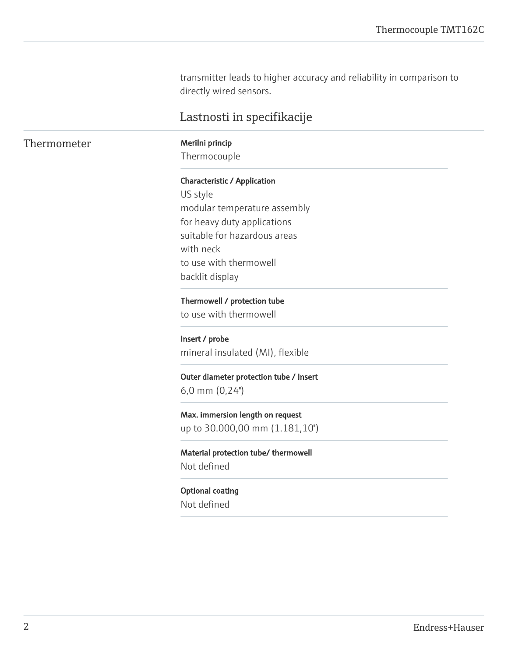transmitter leads to higher accuracy and reliability in comparison to directly wired sensors.

# Lastnosti in specifikacije

# Thermometer Merilni princip

Thermocouple

#### Characteristic / Application

US style modular temperature assembly for heavy duty applications suitable for hazardous areas with neck to use with thermowell backlit display

Thermowell / protection tube to use with thermowell

Insert / probe mineral insulated (MI), flexible

Outer diameter protection tube / Insert 6,0 mm (0,24'')

Max. immersion length on request up to 30.000,00 mm (1.181,10'')

Material protection tube/ thermowell Not defined

Optional coating Not defined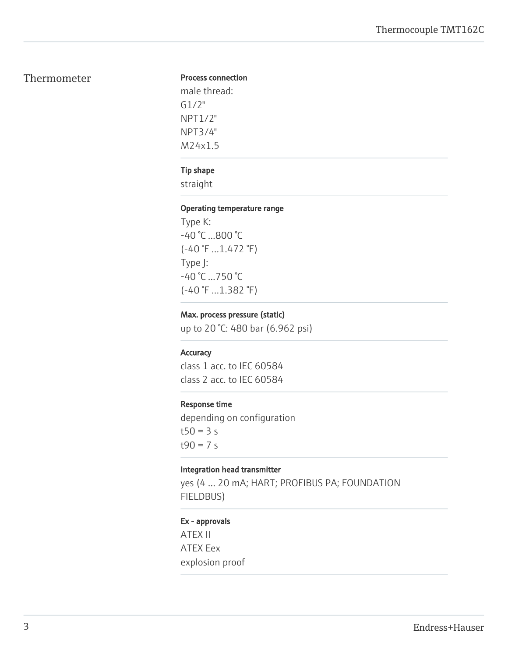# Thermometer

#### Process connection

male thread: G1/2" NPT1/2" NPT3/4" M24x1.5

## Tip shape

straight

#### Operating temperature range

Type K: -40 °C ...800 °C (-40 °F ...1.472 °F) Type J: -40 °C ...750 °C (-40 °F ...1.382 °F)

## Max. process pressure (static)

up to 20 °C: 480 bar (6.962 psi)

### **Accuracy**

class 1 acc. to IEC 60584 class 2 acc. to IEC 60584

#### Response time

depending on configuration  $t50 = 3 s$  $t90 = 7 s$ 

#### Integration head transmitter

yes (4 … 20 mA; HART; PROFIBUS PA; FOUNDATION FIELDBUS)

## Ex - approvals

ATEX II ATEX Eex explosion proof